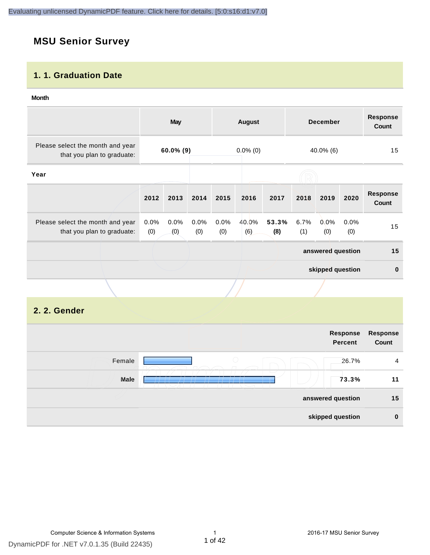#### **MSU Senior Survey**

#### **1. 1. Graduation Date**

#### **Month**

|                                                                |             | <b>May</b>   |             |                | <b>December</b><br><b>August</b> |              | <b>Response</b><br>Count |                   |             |                          |
|----------------------------------------------------------------|-------------|--------------|-------------|----------------|----------------------------------|--------------|--------------------------|-------------------|-------------|--------------------------|
| Please select the month and year<br>that you plan to graduate: |             | $60.0\%$ (9) |             |                | $0.0\%$ (0)<br>40.0% (6)         |              |                          | 15                |             |                          |
| Year                                                           |             |              |             |                |                                  |              |                          |                   |             |                          |
|                                                                | 2012        | 2013         | 2014        | 2015           | 2016                             | 2017         | 2018                     | 2019              | 2020        | <b>Response</b><br>Count |
| Please select the month and year<br>that you plan to graduate: | 0.0%<br>(0) | 0.0%<br>(0)  | 0.0%<br>(0) | $0.0\%$<br>(0) | 40.0%<br>(6)                     | 53.3%<br>(8) | 6.7%<br>(1)              | $0.0\%$<br>(0)    | 0.0%<br>(0) | 15                       |
|                                                                |             |              |             |                |                                  |              |                          | answered question |             | 15                       |
|                                                                |             |              |             |                |                                  |              |                          | skipped question  |             | $\mathbf{0}$             |
|                                                                |             |              |             |                |                                  |              |                          |                   |             |                          |

#### **2. 2. Gender**

|        |                   | Response<br><b>Percent</b> | <b>Response</b><br>Count |
|--------|-------------------|----------------------------|--------------------------|
| Female | $\bigcirc$        | 26.7%                      | $\overline{4}$           |
| Male   |                   | 73.3%                      | 11                       |
|        | answered question |                            | 15                       |
|        | skipped question  |                            | $\bf{0}$                 |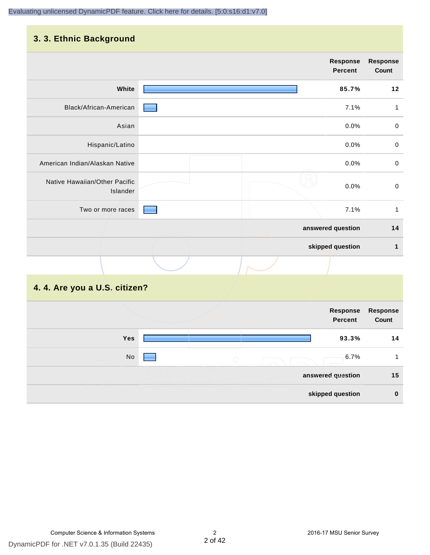#### **3. 3. Ethnic Background**

|                                           |                   | <b>Response</b><br><b>Percent</b> | Response<br>Count |
|-------------------------------------------|-------------------|-----------------------------------|-------------------|
| White                                     |                   | 85.7%                             | 12                |
| Black/African-American                    |                   | 7.1%                              | 1                 |
| Asian                                     |                   | 0.0%                              | $\mathbf 0$       |
| Hispanic/Latino                           |                   | 0.0%                              | $\mathbf 0$       |
| American Indian/Alaskan Native            |                   | 0.0%                              | $\pmb{0}$         |
| Native Hawaiian/Other Pacific<br>Islander |                   | 0.0%                              | $\mathbf 0$       |
| Two or more races                         |                   | 7.1%                              | $\mathbf{1}$      |
|                                           | answered question |                                   | 14                |
|                                           | skipped question  |                                   | 1                 |
|                                           |                   |                                   |                   |

#### **4. 4. Are you a U.S. citizen?**

| Response<br>Percent      | Response<br>Count |
|--------------------------|-------------------|
| Yes<br>93.3%             | 14                |
| No<br>6.7%<br>$\bigcirc$ |                   |
| answered question        | 15                |
| skipped question         | $\bf{0}$          |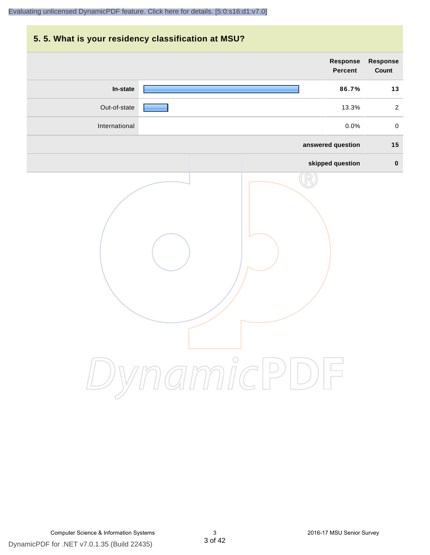## **5. 5. What is your residency classification at MSU? answered question 15 skipped question 0 Response Percent Response Count In-state 86.7% 13** Out-of-state 13.3% 2 International 0.0% 0

DynamicPDF

DynamicPDF for .NET v7.0.1.35 (Build 22435) Computer Science & Information Systems 3 2016-17 MSU Senior Survey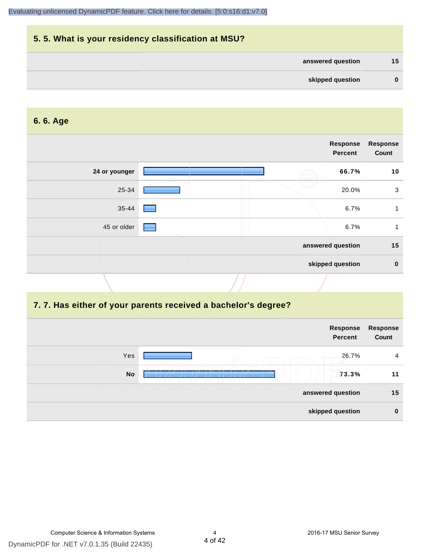## **5. 5. What is your residency classification at MSU? answered question 15 skipped question 0**

#### **6. 6. Age**

|               |   | Response<br><b>Percent</b> | <b>Response</b><br>Count |
|---------------|---|----------------------------|--------------------------|
| 24 or younger |   | 66.7%                      | 10                       |
| 25-34         |   | 20.0%                      | 3                        |
| 35-44         |   | 6.7%                       |                          |
| 45 or older   | ۰ | 6.7%                       |                          |
|               |   | answered question          | 15                       |
|               |   | skipped question           | $\mathbf 0$              |
|               |   |                            |                          |

#### **7. 7. Has either of your parents received a bachelor's degree?**

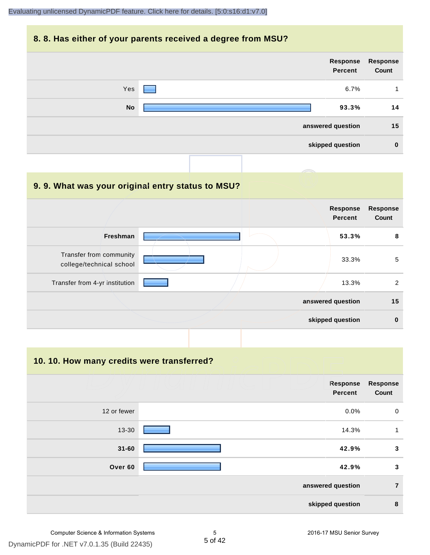#### **8. 8. Has either of your parents received a degree from MSU?**

| Response<br>Count | Response<br>Percent |                                 |           |
|-------------------|---------------------|---------------------------------|-----------|
| 4                 | 6.7%                | <b>Contract Contract Street</b> | Yes       |
| 14                | 93.3%               |                                 | <b>No</b> |
| 15                | answered question   |                                 |           |
| $\bf{0}$          | skipped question    |                                 |           |
|                   |                     |                                 |           |

| 9.9. What was your original entry status to MSU?    |                                   |                          |
|-----------------------------------------------------|-----------------------------------|--------------------------|
|                                                     | <b>Response</b><br><b>Percent</b> | <b>Response</b><br>Count |
| <b>Freshman</b>                                     | 53.3%                             | 8                        |
| Transfer from community<br>college/technical school | 33.3%                             | 5                        |
| Transfer from 4-yr institution                      | 13.3%                             | 2                        |
|                                                     | answered question                 | 15                       |
|                                                     | skipped question                  | $\mathbf 0$              |

**10. 10. How many credits were transferred?**

|             | Response<br>Percent | <b>Response</b><br>Count |
|-------------|---------------------|--------------------------|
| 12 or fewer | 0.0%                | $\mathbf 0$              |
| 13-30       | 14.3%               | 1                        |
| $31 - 60$   | 42.9%               | $\mathbf{3}$             |
| Over 60     | 42.9%               | $\mathbf{3}$             |
|             | answered question   | $\overline{7}$           |
|             | skipped question    | 8                        |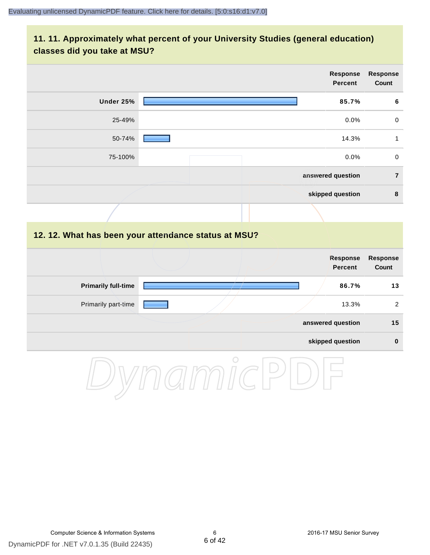#### **11. 11. Approximately what percent of your University Studies (general education) classes did you take at MSU?**

|                                                      |            |  | Response<br><b>Percent</b>        | Response<br>Count |
|------------------------------------------------------|------------|--|-----------------------------------|-------------------|
| Under 25%                                            |            |  | 85.7%                             | $\bf 6$           |
| 25-49%                                               |            |  | 0.0%                              | $\mathsf{O}$      |
| 50-74%                                               |            |  | 14.3%                             | $\mathbf{1}$      |
| 75-100%                                              |            |  | 0.0%                              | $\mathbf 0$       |
|                                                      |            |  | answered question                 | $\overline{7}$    |
|                                                      |            |  | skipped question                  | 8                 |
|                                                      |            |  |                                   |                   |
| 12. 12. What has been your attendance status at MSU? |            |  |                                   |                   |
|                                                      |            |  | <b>Response</b><br><b>Percent</b> | Response<br>Count |
| <b>Primarily full-time</b>                           |            |  | 86.7%                             | $13$              |
| Primarily part-time                                  |            |  | 13.3%                             | $\sqrt{2}$        |
|                                                      |            |  | answered question                 | 15                |
|                                                      |            |  | skipped question                  | $\pmb{0}$         |
|                                                      | $\bigcirc$ |  |                                   |                   |

DynamicPDF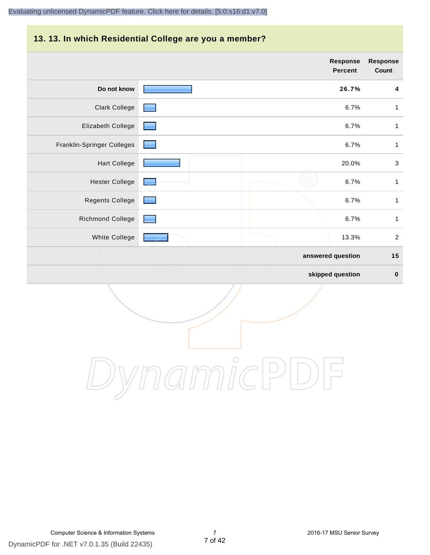#### **13. 13. In which Residential College are you a member?**

|                            | <b>Response</b><br>Percent | <b>Response</b><br>Count |
|----------------------------|----------------------------|--------------------------|
| Do not know                | 26.7%                      | $\boldsymbol{4}$         |
| <b>Clark College</b>       | 6.7%                       | $\mathbf{1}$             |
| Elizabeth College          | 6.7%                       | $\mathbf{1}$             |
| Franklin-Springer Colleges | 6.7%                       | $\mathbf{1}$             |
| <b>Hart College</b>        | 20.0%                      | $\mathsf 3$              |
| <b>Hester College</b>      | 6.7%                       | $\mathbf{1}$             |
| <b>Regents College</b>     | 6.7%                       | $\mathbf{1}$             |
| Richmond College           | 6.7%                       | $\mathbf{1}$             |
| White College              | 13.3%                      | 2                        |
|                            | answered question          | 15                       |
|                            | skipped question           | $\pmb{0}$                |

DynamicPDF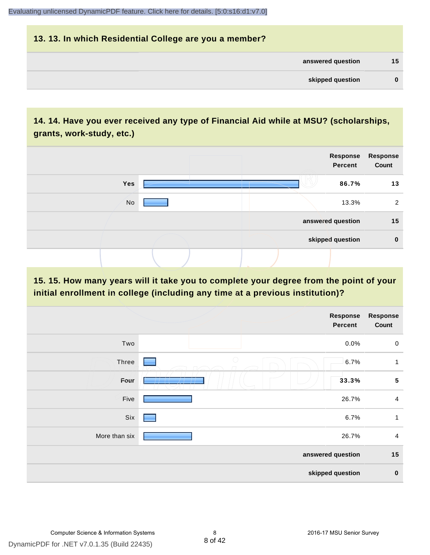## **13. 13. In which Residential College are you a member? answered question 15 skipped question 0**

#### **14. 14. Have you ever received any type of Financial Aid while at MSU? (scholarships, grants, work-study, etc.)**



#### **15. 15. How many years will it take you to complete your degree from the point of your initial enrollment in college (including any time at a previous institution)?**

|               | <b>Response</b><br>Percent | Response<br>Count |
|---------------|----------------------------|-------------------|
| Two           | 0.0%                       | $\pmb{0}$         |
| Three         | $\bigcirc$<br>6.7%         | $\mathbf{1}$      |
| Four          | 33.3%                      | ${\bf 5}$         |
| Five          | 26.7%                      | $\overline{4}$    |
| Six           | 6.7%                       | $\mathbf{1}$      |
| More than six | 26.7%                      | $\overline{4}$    |
|               | answered question          | 15                |
|               | skipped question           | $\pmb{0}$         |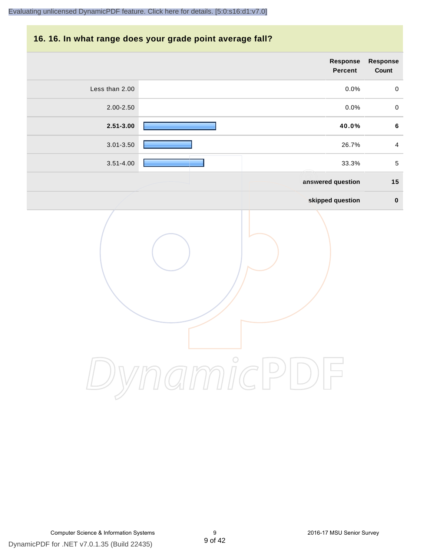#### **16. 16. In what range does your grade point average fall?**

| Response<br>Count | <b>Response</b><br>Percent |                      |                |
|-------------------|----------------------------|----------------------|----------------|
| $\pmb{0}$         | $0.0\%$                    |                      | Less than 2.00 |
| $\mathbf 0$       | 0.0%                       |                      | 2.00-2.50      |
| $\bf 6$           | 40.0%                      |                      | $2.51 - 3.00$  |
| $\overline{4}$    | 26.7%                      |                      | $3.01 - 3.50$  |
| $\,$ 5 $\,$       | 33.3%                      |                      | $3.51 - 4.00$  |
| 15                | answered question          |                      |                |
| $\pmb{0}$         | skipped question           |                      |                |
|                   |                            | $\int_{0}^{0}$<br>าท |                |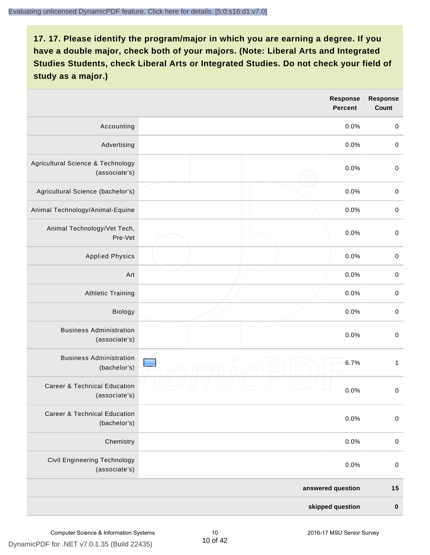|                                                          | Response<br><b>Percent</b> | <b>Response</b><br>Count |
|----------------------------------------------------------|----------------------------|--------------------------|
| Accounting                                               | 0.0%                       | $\mathbf 0$              |
| Advertising                                              | 0.0%                       | $\mbox{O}$               |
| Agricultural Science & Technology<br>(associate's)       | 0.0%                       | $\mbox{O}$               |
| Agricultural Science (bachelor's)                        | 0.0%                       | $\mathbf 0$              |
| Animal Technology/Animal-Equine                          | 0.0%                       | $\mathbf 0$              |
| Animal Technology/Vet Tech,<br>Pre-Vet                   | 0.0%                       | $\mathbf 0$              |
| <b>Applied Physics</b>                                   | 0.0%                       | $\pmb{0}$                |
| Art                                                      | 0.0%                       | $\mathbf 0$              |
| <b>Athletic Training</b>                                 | 0.0%                       | $\mathbf 0$              |
| Biology                                                  | 0.0%                       | $\mbox{O}$               |
| <b>Business Administration</b><br>(associate's)          | 0.0%                       | $\,0\,$                  |
| <b>Business Administration</b><br>(bachelor's)           | ∩<br>6.7%                  | $\mathbf{1}$             |
| <b>Career &amp; Technical Education</b><br>(associate's) | 0.0%                       | $\mathbf 0$              |
| <b>Career &amp; Technical Education</b><br>(bachelor's)  | 0.0%                       | $\mathbf 0$              |
| Chemistry                                                | 0.0%                       | $\mathbf 0$              |
| Civil Engineering Technology<br>(associate's)            | 0.0%                       | $\pmb{0}$                |
|                                                          | answered question          | 15                       |
|                                                          | skipped question           | $\pmb{0}$                |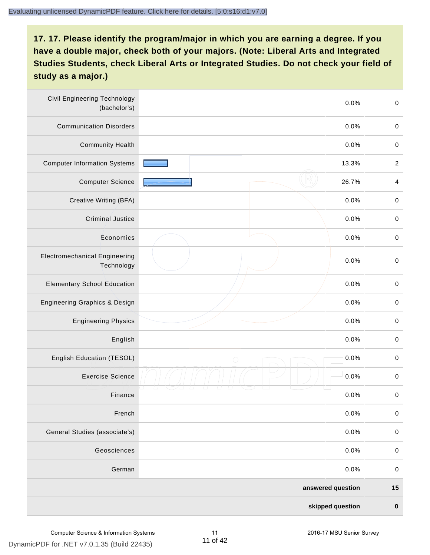| <b>Civil Engineering Technology</b><br>(bachelor's) | 0.0%               | $\mathbf 0$      |
|-----------------------------------------------------|--------------------|------------------|
| <b>Communication Disorders</b>                      | 0.0%               | $\mathbf 0$      |
| <b>Community Health</b>                             | 0.0%               | $\mathbf 0$      |
| <b>Computer Information Systems</b>                 | 13.3%              | $\boldsymbol{2}$ |
| <b>Computer Science</b>                             | 26.7%              | $\overline{4}$   |
| Creative Writing (BFA)                              | 0.0%               | $\mathbf 0$      |
| Criminal Justice                                    | 0.0%               | $\mathbf 0$      |
| Economics                                           | 0.0%               | $\mathbf 0$      |
| <b>Electromechanical Engineering</b><br>Technology  | 0.0%               | $\mathbf 0$      |
| <b>Elementary School Education</b>                  | 0.0%               | $\mathbf 0$      |
| <b>Engineering Graphics &amp; Design</b>            | 0.0%               | $\,0\,$          |
| <b>Engineering Physics</b>                          | 0.0%               | $\pmb{0}$        |
| English                                             | 0.0%               | $\mathbf 0$      |
| English Education (TESOL)                           | 0.0%<br>$\bigcirc$ | $\pmb{0}$        |
| <b>Exercise Science</b>                             | 0.0%               | $\pmb{0}$        |
| Finance                                             | 0.0%               | $\pmb{0}$        |
| French                                              | 0.0%               | $\pmb{0}$        |
| General Studies (associate's)                       | 0.0%               | $\mathbf 0$      |
| Geosciences                                         | 0.0%               | $\pmb{0}$        |
| German                                              | 0.0%               | $\mathbf 0$      |
|                                                     | answered question  | $15$             |
|                                                     | skipped question   | $\pmb{0}$        |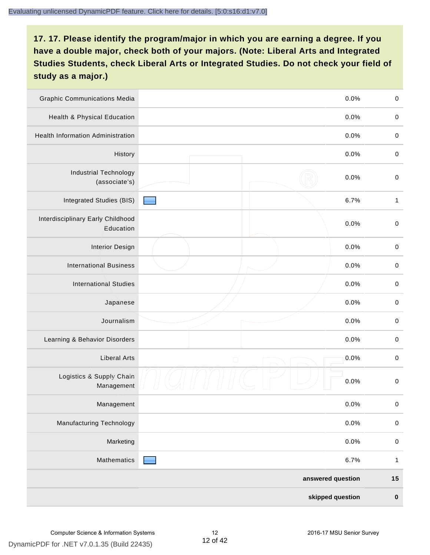| <b>Graphic Communications Media</b>            |                 | 0.0%              | $\mathbf 0$  |
|------------------------------------------------|-----------------|-------------------|--------------|
| <b>Health &amp; Physical Education</b>         |                 | 0.0%              | $\mathbf 0$  |
| <b>Health Information Administration</b>       |                 | 0.0%              | $\pmb{0}$    |
| History                                        |                 | 0.0%              | $\mathbf 0$  |
| <b>Industrial Technology</b><br>(associate's)  |                 | 0.0%              | $\mathbf 0$  |
| Integrated Studies (BIS)                       |                 | 6.7%              | $\mathbf{1}$ |
| Interdisciplinary Early Childhood<br>Education |                 | 0.0%              | $\mathbf 0$  |
| <b>Interior Design</b>                         |                 | 0.0%              | $\mathbf 0$  |
| <b>International Business</b>                  |                 | 0.0%              | $\mathbf 0$  |
| <b>International Studies</b>                   |                 | 0.0%              | $\mathbf 0$  |
| Japanese                                       |                 | 0.0%              | $\pmb{0}$    |
| Journalism                                     |                 | 0.0%              | $\pmb{0}$    |
| Learning & Behavior Disorders                  |                 | 0.0%              | $\mathbf 0$  |
| <b>Liberal Arts</b>                            | $\bigcirc$      | 0.0%              | $\mathbf 0$  |
| Logistics & Supply Chain<br>Management         |                 | 0.0%              | $\mathbf 0$  |
| Management                                     |                 | 0.0%              | $\pmb{0}$    |
| <b>Manufacturing Technology</b>                |                 | 0.0%              | $\pmb{0}$    |
| Marketing                                      |                 | 0.0%              | $\mathbf 0$  |
| Mathematics                                    | <b>Contract</b> | 6.7%              | $\mathbf{1}$ |
|                                                |                 | answered question | $15$         |
|                                                |                 | skipped question  | $\pmb{0}$    |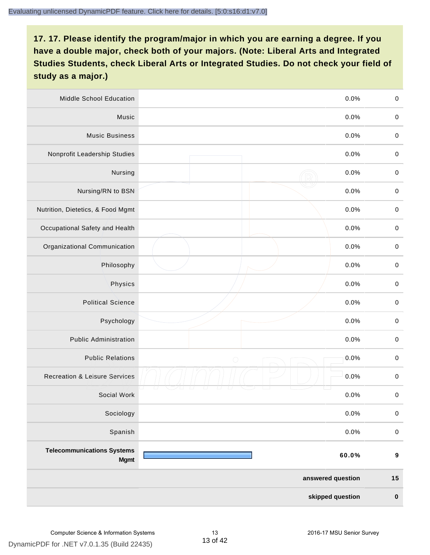| Middle School Education                          | 0.0%               | $\,0\,$          |
|--------------------------------------------------|--------------------|------------------|
| Music                                            | 0.0%               | $\mathbf 0$      |
| <b>Music Business</b>                            | 0.0%               | $\mathbf 0$      |
| Nonprofit Leadership Studies                     | 0.0%               | $\pmb{0}$        |
| Nursing                                          | 0.0%               | $\pmb{0}$        |
| Nursing/RN to BSN                                | 0.0%               | $\,0\,$          |
| Nutrition, Dietetics, & Food Mgmt                | 0.0%               | $\pmb{0}$        |
| Occupational Safety and Health                   | 0.0%               | $\mathbf 0$      |
| Organizational Communication                     | 0.0%               | $\pmb{0}$        |
| Philosophy                                       | 0.0%               | $\pmb{0}$        |
| Physics                                          | 0.0%               | $\,0\,$          |
| <b>Political Science</b>                         | 0.0%               | $\mathbf 0$      |
| Psychology                                       | 0.0%               | $\pmb{0}$        |
| <b>Public Administration</b>                     | 0.0%               | $\pmb{0}$        |
| <b>Public Relations</b>                          | 0.0%<br>$\bigcirc$ | $\pmb{0}$        |
| <b>Recreation &amp; Leisure Services</b>         | 0.0%               | $\,0\,$          |
| Social Work                                      | 0.0%               | $\,0\,$          |
| Sociology                                        | 0.0%               | $\mathbf 0$      |
| Spanish                                          | 0.0%               | $\pmb{0}$        |
| <b>Telecommunications Systems</b><br><b>Mgmt</b> | 60.0%              | $\boldsymbol{9}$ |
|                                                  | answered question  | $15$             |
|                                                  | skipped question   | $\pmb{0}$        |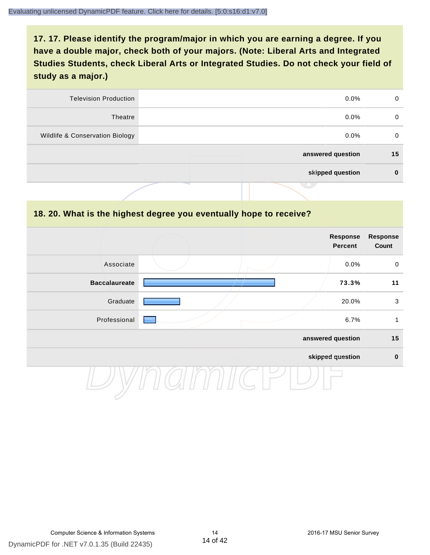| <b>Television Production</b>    | $0.0\%$           | 0  |
|---------------------------------|-------------------|----|
| Theatre                         | $0.0\%$           | 0  |
| Wildlife & Conservation Biology | $0.0\%$           | 0  |
|                                 | answered question | 15 |
|                                 | skipped question  | 0  |
|                                 | .                 |    |

#### **18. 20. What is the highest degree you eventually hope to receive?**

|                      |  | Response<br>Percent | <b>Response</b><br>Count |
|----------------------|--|---------------------|--------------------------|
| Associate            |  | 0.0%                | $\mathbf 0$              |
| <b>Baccalaureate</b> |  | 73.3%               | 11                       |
| Graduate             |  | 20.0%               | $\mathbf{3}$             |
| Professional         |  | 6.7%                | 1                        |
|                      |  | answered question   | 15                       |
|                      |  | skipped question    | $\pmb{0}$                |
|                      |  |                     |                          |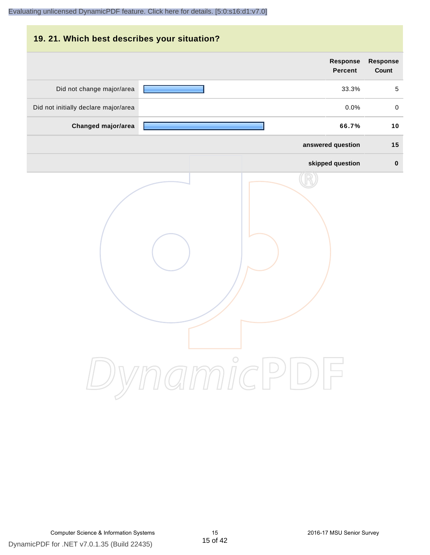# **19. 21. Which best describes your situation? Response Response Percent Count** Did not change major/area **12.1 Contract 1.0 Contract 1.0 Contract 1.0 Contract 1.0 Contract 1.0 Contract 1.0 Contract 1.0 Contract 1.0 Contract 1.0 Contract 1.0 Contract 1.0 Contract 1.0 Contract 1.0 Contract 1.0 Contract** Did not initially declare major/area  $0.0\%$  0.0% 0.0% **Changed major/area 66.7% 10 answered question 15 skipped question 0** DynamicPDF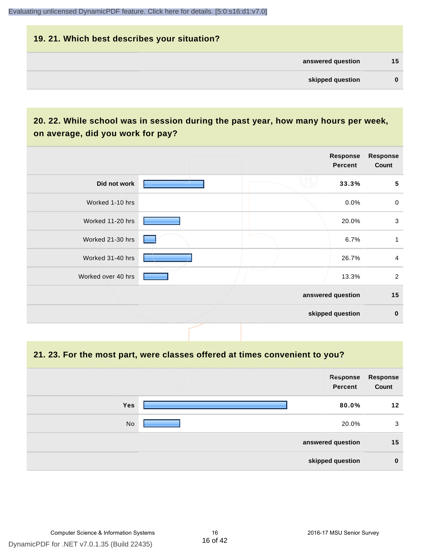## **19. 21. Which best describes your situation? answered question 15 skipped question 0**

#### **20. 22. While school was in session during the past year, how many hours per week, on average, did you work for pay?**

|                    | Response<br><b>Percent</b> | <b>Response</b><br>Count |
|--------------------|----------------------------|--------------------------|
| Did not work       | 33.3%                      | 5                        |
| Worked 1-10 hrs    | 0.0%                       | $\mathbf 0$              |
| Worked 11-20 hrs   | 20.0%                      | $\mathbf{3}$             |
| Worked 21-30 hrs   | 6.7%                       | 1                        |
| Worked 31-40 hrs   | 26.7%                      | 4                        |
| Worked over 40 hrs | 13.3%                      | $\overline{2}$           |
|                    | answered question          | 15                       |
|                    | skipped question           | $\mathbf 0$              |

#### **21. 23. For the most part, were classes offered at times convenient to you?**

|            | Response<br>Percent | Response<br>Count |
|------------|---------------------|-------------------|
| <b>Yes</b> | 80.0%               | 12                |
| No         | 20.0%               | 3                 |
|            | answered question   | 15                |
|            | skipped question    | $\mathbf 0$       |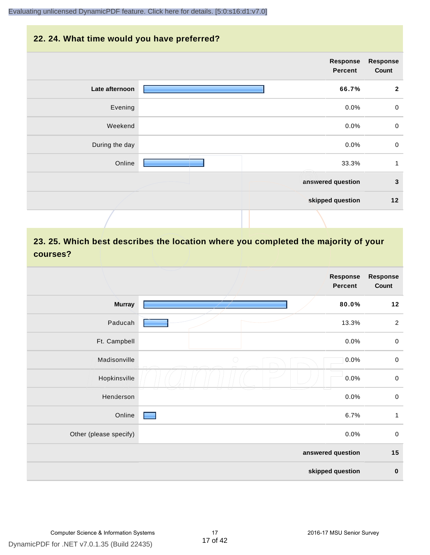#### **22. 24. What time would you have preferred?**

|                | <b>Response</b><br><b>Percent</b> | <b>Response</b><br>Count |
|----------------|-----------------------------------|--------------------------|
| Late afternoon | 66.7%                             | $\overline{2}$           |
| Evening        | 0.0%                              | $\pmb{0}$                |
| Weekend        | 0.0%                              | $\mathbf 0$              |
| During the day | 0.0%                              | $\pmb{0}$                |
| Online         | 33.3%                             | $\mathbf{1}$             |
|                | answered question                 | $\mathbf{3}$             |
|                | skipped question                  | $12$                     |
|                |                                   |                          |

#### **23. 25. Which best describes the location where you completed the majority of your courses?**

|                        |            | Response<br>Percent | Response<br>Count |
|------------------------|------------|---------------------|-------------------|
| <b>Murray</b>          |            | 80.0%               | $12$              |
| Paducah                |            | 13.3%               | $\overline{2}$    |
| Ft. Campbell           |            | 0.0%                | $\mathbf 0$       |
| Madisonville           | $\bigcirc$ | 0.0%                | $\mathbf 0$       |
| Hopkinsville           |            | 0.0%                | $\pmb{0}$         |
| Henderson              |            | 0.0%                | $\mathbf 0$       |
| Online                 |            | 6.7%                | $\mathbf{1}$      |
| Other (please specify) |            | 0.0%                | $\mathbf 0$       |
|                        |            | answered question   | 15                |
|                        |            | skipped question    | $\pmb{0}$         |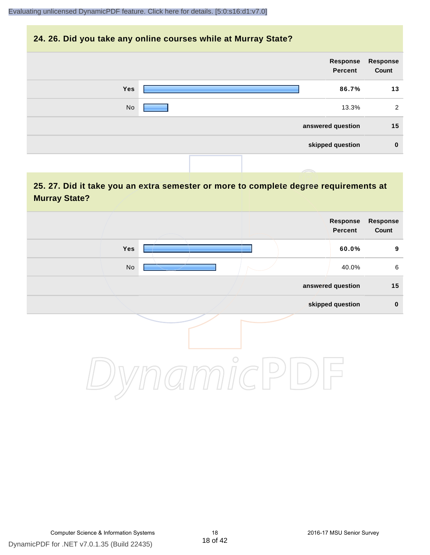#### **24. 26. Did you take any online courses while at Murray State?**

| <b>Response</b><br>Count | Response<br>Percent |  |            |  |
|--------------------------|---------------------|--|------------|--|
| 13                       | 86.7%               |  | <b>Yes</b> |  |
| 2                        | 13.3%               |  | No         |  |
| 15                       | answered question   |  |            |  |
| $\bf{0}$                 | skipped question    |  |            |  |
|                          |                     |  |            |  |

#### **25. 27. Did it take you an extra semester or more to complete degree requirements at Murray State?**

| <b>Response</b><br>Count | Response<br>Percent |         |                              |  |
|--------------------------|---------------------|---------|------------------------------|--|
| $\boldsymbol{9}$         | 60.0%               |         | Yes                          |  |
| $\,6\,$                  | 40.0%               |         | $\operatorname{\mathsf{No}}$ |  |
| 15                       | answered question   |         |                              |  |
| $\pmb{0}$                | skipped question    |         |                              |  |
|                          |                     | $\circ$ |                              |  |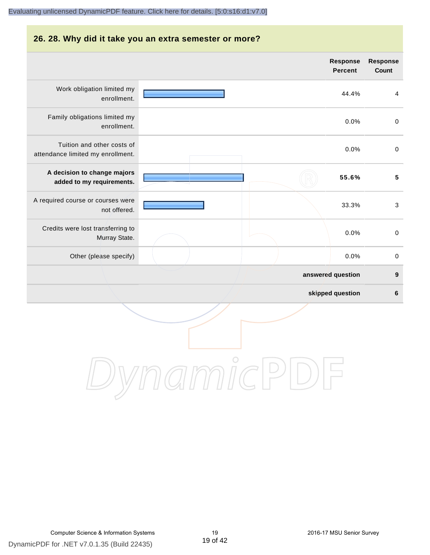# **26. 28. Why did it take you an extra semester or more?**

|                                                                 |  | <b>Percent</b>    | Count                   |
|-----------------------------------------------------------------|--|-------------------|-------------------------|
| Work obligation limited my<br>enrollment.                       |  | 44.4%             | $\overline{\mathbf{4}}$ |
| Family obligations limited my<br>enrollment.                    |  | 0.0%              | $\mathbf 0$             |
| Tuition and other costs of<br>attendance limited my enrollment. |  | 0.0%              | $\pmb{0}$               |
| A decision to change majors<br>added to my requirements.        |  | 55.6%             | $\sqrt{5}$              |
| A required course or courses were<br>not offered.               |  | 33.3%             | $\mathbf{3}$            |
| Credits were lost transferring to<br>Murray State.              |  | 0.0%              | $\pmb{0}$               |
| Other (please specify)                                          |  | 0.0%              | $\pmb{0}$               |
|                                                                 |  | answered question | $\boldsymbol{9}$        |
|                                                                 |  | skipped question  | 6                       |
|                                                                 |  |                   |                         |



**Response**

**Response Count**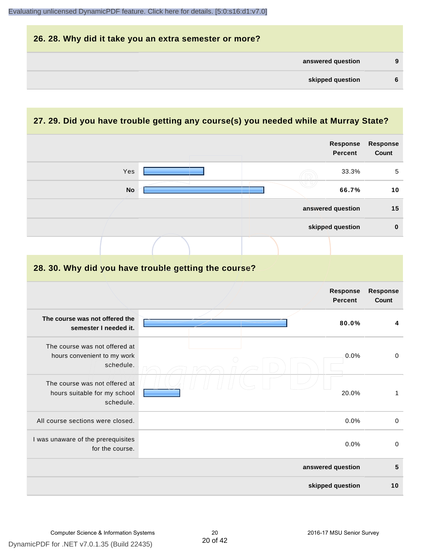

#### **27. 29. Did you have trouble getting any course(s) you needed while at Murray State?**

|                                                                            |                                                      | Response<br><b>Percent</b>        | <b>Response</b><br>Count |
|----------------------------------------------------------------------------|------------------------------------------------------|-----------------------------------|--------------------------|
| Yes                                                                        |                                                      | 33.3%                             | 5                        |
| <b>No</b>                                                                  |                                                      | 66.7%                             | 10                       |
|                                                                            |                                                      | answered question                 | 15                       |
|                                                                            |                                                      | skipped question                  | $\mathbf 0$              |
|                                                                            |                                                      |                                   |                          |
|                                                                            | 28. 30. Why did you have trouble getting the course? |                                   |                          |
|                                                                            |                                                      | <b>Response</b><br><b>Percent</b> | <b>Response</b><br>Count |
| The course was not offered the<br>semester I needed it.                    |                                                      | 80.0%                             | 4                        |
| The course was not offered at<br>hours convenient to my work<br>schedule.  |                                                      | 0.0%                              | $\pmb{0}$                |
| The course was not offered at<br>hours suitable for my school<br>schedule. |                                                      | 20.0%                             | $\mathbf{1}$             |
| All course sections were closed.                                           |                                                      | 0.0%                              | $\pmb{0}$                |
| I was unaware of the prerequisites<br>for the course.                      |                                                      | 0.0%                              | $\pmb{0}$                |
|                                                                            |                                                      | answered question                 | 5                        |
|                                                                            |                                                      | skipped question                  | 10                       |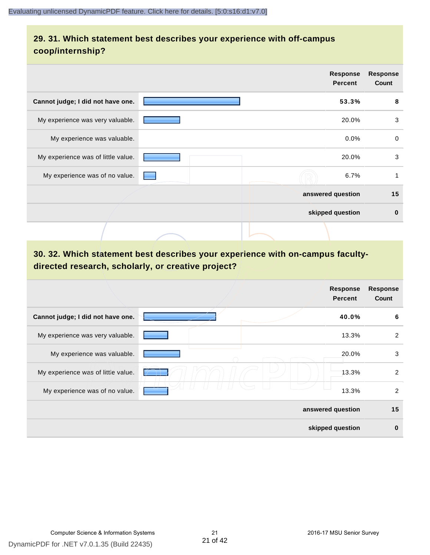#### **29. 31. Which statement best describes your experience with off-campus coop/internship?**

|                                    | <b>Response</b><br><b>Percent</b> | <b>Response</b><br>Count |
|------------------------------------|-----------------------------------|--------------------------|
| Cannot judge; I did not have one.  | 53.3%                             | 8                        |
| My experience was very valuable.   | 20.0%                             | 3                        |
| My experience was valuable.        | $0.0\%$                           | $\mathbf 0$              |
| My experience was of little value. | 20.0%                             | 3                        |
| My experience was of no value.     | 6.7%                              | 1                        |
|                                    | answered question                 | 15                       |
|                                    | skipped question                  | $\bf{0}$                 |
|                                    |                                   |                          |

#### **30. 32. Which statement best describes your experience with on-campus facultydirected research, scholarly, or creative project?**

|                                    | <b>Response</b><br><b>Percent</b> | <b>Response</b><br>Count |
|------------------------------------|-----------------------------------|--------------------------|
| Cannot judge; I did not have one.  | 40.0%                             | 6                        |
| My experience was very valuable.   | 13.3%                             | 2                        |
| My experience was valuable.        | 20.0%                             | 3                        |
| My experience was of little value. | 13.3%                             | 2                        |
| My experience was of no value.     | 13.3%                             | $\overline{2}$           |
|                                    | answered question                 | 15                       |
|                                    | skipped question                  | $\bf{0}$                 |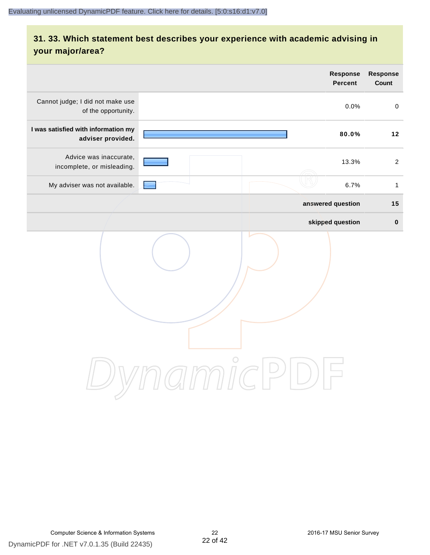#### **31. 33. Which statement best describes your experience with academic advising in your major/area?**

|                                                          |                                                        | Response<br><b>Percent</b> | Response<br>Count |
|----------------------------------------------------------|--------------------------------------------------------|----------------------------|-------------------|
| Cannot judge; I did not make use<br>of the opportunity.  |                                                        | 0.0%                       | $\mathbf 0$       |
| I was satisfied with information my<br>adviser provided. |                                                        | 80.0%                      | 12                |
| Advice was inaccurate,<br>incomplete, or misleading.     |                                                        | 13.3%                      | 2                 |
| My adviser was not available.                            |                                                        | 6.7%                       | $\mathbf{1}$      |
|                                                          | answered question                                      |                            | 15                |
|                                                          | skipped question                                       |                            | $\pmb{0}$         |
|                                                          | amicP<br>$\left( \begin{array}{c} \end{array} \right)$ |                            |                   |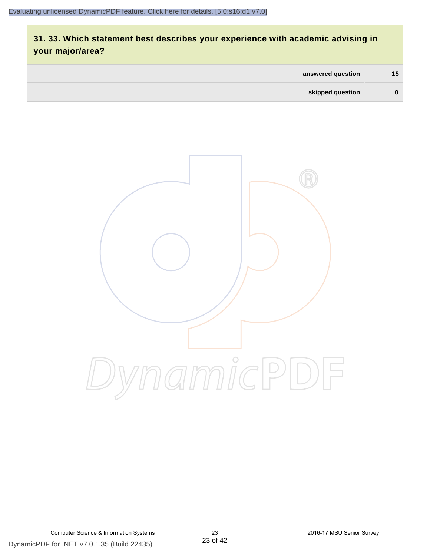#### **31. 33. Which statement best describes your experience with academic advising in your major/area?**

| answered question | 15 <sub>1</sub> |
|-------------------|-----------------|
| skipped question  | $\bf{0}$        |

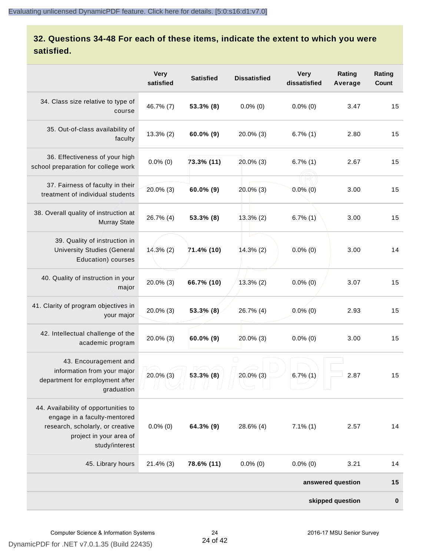#### **32. Questions 34-48 For each of these items, indicate the extent to which you were satisfied.**

|                                                                                                                                                       | <b>Very</b><br>satisfied | <b>Satisfied</b> | <b>Dissatisfied</b> | <b>Very</b><br>dissatisfied | Rating<br>Average | Rating<br>Count  |
|-------------------------------------------------------------------------------------------------------------------------------------------------------|--------------------------|------------------|---------------------|-----------------------------|-------------------|------------------|
| 34. Class size relative to type of<br>course                                                                                                          | 46.7% (7)                | 53.3% (8)        | $0.0\%$ (0)         | $0.0\%$ (0)                 | 3.47              | 15               |
| 35. Out-of-class availability of<br>faculty                                                                                                           | $13.3\%$ (2)             | 60.0% (9)        | 20.0% (3)           | $6.7\%$ (1)                 | 2.80              | 15               |
| 36. Effectiveness of your high<br>school preparation for college work                                                                                 | $0.0\%$ (0)              | 73.3% (11)       | 20.0% (3)           | $6.7\%$ (1)                 | 2.67              | 15               |
| 37. Fairness of faculty in their<br>treatment of individual students                                                                                  | 20.0% (3)                | 60.0% (9)        | $20.0\%$ (3)        | $0.0\%$ (0)                 | 3.00              | 15               |
| 38. Overall quality of instruction at<br><b>Murray State</b>                                                                                          | 26.7% (4)                | 53.3% (8)        | 13.3%(2)            | $6.7\%$ (1)                 | 3.00              | 15               |
| 39. Quality of instruction in<br><b>University Studies (General</b><br>Education) courses                                                             | $14.3\%$ (2)             | 71.4% (10)       | $14.3\%$ (2)        | $0.0\%$ (0)                 | 3.00              | 14               |
| 40. Quality of instruction in your<br>major                                                                                                           | 20.0% (3)                | 66.7% (10)       | $13.3\%$ (2)        | $0.0\%$ (0)                 | 3.07              | 15               |
| 41. Clarity of program objectives in<br>your major                                                                                                    | $20.0\%$ (3)             | $53.3\%$ (8)     | 26.7% (4)           | $0.0\%$ (0)                 | 2.93              | 15               |
| 42. Intellectual challenge of the<br>academic program                                                                                                 | 20.0% (3)                | $60.0\%$ (9)     | $20.0\%$ (3)        | $0.0\%$ (0)                 | 3.00              | 15               |
| 43. Encouragement and<br>information from your major<br>department for employment after<br>graduation                                                 | $20.0\%$ (3)             | $53.3\%$ (8)     | $20.0\%$ (3)        | $6.7\%$ (1)                 | 2.87              | 15               |
| 44. Availability of opportunities to<br>engage in a faculty-mentored<br>research, scholarly, or creative<br>project in your area of<br>study/interest | $0.0\%$ (0)              | 64.3% (9)        | 28.6% (4)           | $7.1\%$ (1)                 | 2.57              | 14               |
| 45. Library hours                                                                                                                                     | $21.4\%$ (3)             | 78.6% (11)       | $0.0\%$ (0)         | $0.0\%$ (0)                 | 3.21              | 14               |
|                                                                                                                                                       |                          |                  |                     |                             | answered question | 15               |
|                                                                                                                                                       |                          |                  |                     |                             | skipped question  | $\boldsymbol{0}$ |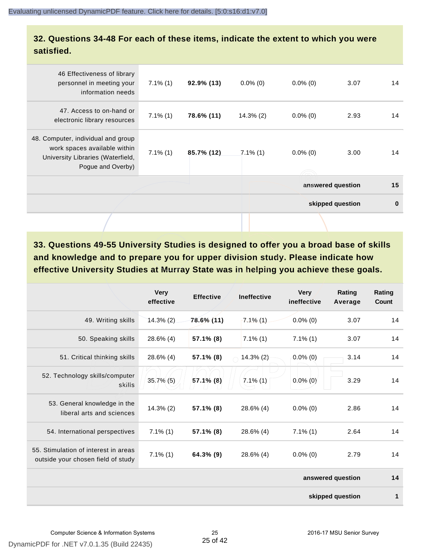#### **32. Questions 34-48 For each of these items, indicate the extent to which you were satisfied.**

| 46 Effectiveness of library<br>personnel in meeting your<br>information needs                                                | $7.1\%$ (1) | $92.9\%$ (13) | $0.0\%$ (0)  | $0.0\%$ (0) | 3.07              | 14       |
|------------------------------------------------------------------------------------------------------------------------------|-------------|---------------|--------------|-------------|-------------------|----------|
| 47. Access to on-hand or<br>electronic library resources                                                                     | $7.1\%$ (1) | 78.6% (11)    | $14.3\%$ (2) | $0.0\%$ (0) | 2.93              | 14       |
| 48. Computer, individual and group<br>work spaces available within<br>University Libraries (Waterfield,<br>Pogue and Overby) | $7.1\%$ (1) | 85.7% (12)    | $7.1\%$ (1)  | $0.0\%$ (0) | 3.00              | 14       |
|                                                                                                                              |             |               |              |             | answered question | 15       |
|                                                                                                                              |             |               |              |             | skipped question  | $\bf{0}$ |
|                                                                                                                              |             |               |              |             |                   |          |

**33. Questions 49-55 University Studies is designed to offer you a broad base of skills and knowledge and to prepare you for upper division study. Please indicate how effective University Studies at Murray State was in helping you achieve these goals.**

|                                                                            | <b>Very</b><br>effective | <b>Effective</b> | <b>Ineffective</b> | <b>Very</b><br>ineffective | Rating<br>Average | Rating<br>Count |
|----------------------------------------------------------------------------|--------------------------|------------------|--------------------|----------------------------|-------------------|-----------------|
| 49. Writing skills                                                         | 14.3% (2)                | 78.6% (11)       | $7.1\%$ (1)        | $0.0\%$ (0)                | 3.07              | 14              |
| 50. Speaking skills                                                        | 28.6% (4)                | 57.1% (8)        | $7.1\%$ (1)        | $7.1\%$ (1)                | 3.07              | 14              |
| 51. Critical thinking skills                                               | 28.6% (4)                | 57.1% (8)        | $14.3\%$ (2)       | $0.0\%$ (0)                | 3.14              | 14              |
| 52. Technology skills/computer<br>skills                                   | $35.7\%$ (5)             | 57.1% (8)        | $7.1\%$ (1)        | $0.0\%$ (0)                | 3.29              | 14              |
| 53. General knowledge in the<br>liberal arts and sciences                  | $14.3\%$ (2)             | $57.1\%$ (8)     | $28.6\%$ (4)       | $0.0\%$ (0)                | 2.86              | 14              |
| 54. International perspectives                                             | $7.1\%$ (1)              | 57.1% (8)        | 28.6% (4)          | $7.1\%$ (1)                | 2.64              | 14              |
| 55. Stimulation of interest in areas<br>outside your chosen field of study | $7.1\%$ (1)              | 64.3% (9)        | 28.6% (4)          | $0.0\%$ (0)                | 2.79              | 14              |
|                                                                            |                          |                  |                    |                            | answered question | 14              |
|                                                                            |                          |                  |                    |                            | skipped question  | 1               |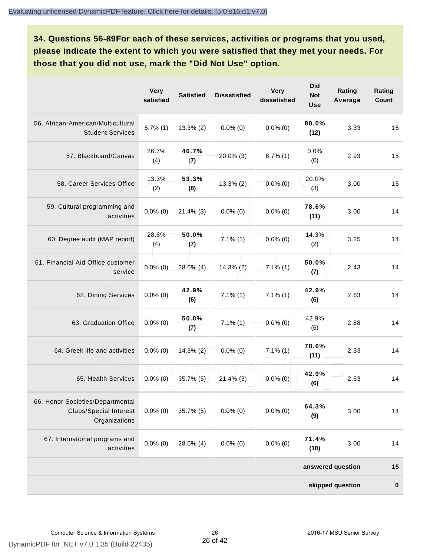**34. Questions 56-89For each of these services, activities or programs that you used, please indicate the extent to which you were satisfied that they met your needs. For those that you did not use, mark the "Did Not Use" option.**

|                                                                                    | <b>Very</b><br>satisfied | <b>Satisfied</b> | <b>Dissatisfied</b> | <b>Very</b><br>dissatisfied | <b>Did</b><br><b>Not</b><br><b>Use</b> | Rating<br>Average | Rating<br>Count |
|------------------------------------------------------------------------------------|--------------------------|------------------|---------------------|-----------------------------|----------------------------------------|-------------------|-----------------|
| 56. African-American/Multicultural<br><b>Student Services</b>                      | $6.7\%$ (1)              | $13.3\%$ (2)     | $0.0\%$ (0)         | $0.0\%$ (0)                 | 80.0%<br>(12)                          | 3.33              | 15              |
| 57. Blackboard/Canvas                                                              | 26.7%<br>(4)             | 46.7%<br>(7)     | 20.0% (3)           | $6.7\%$ (1)                 | 0.0%<br>(0)                            | 2.93              | 15              |
| 58. Career Services Office                                                         | 13.3%<br>(2)             | 53.3%<br>(8)     | $13.3\%$ (2)        | $0.0\%$ (0)                 | 20.0%<br>(3)                           | 3.00              | 15              |
| 59. Cultural programming and<br>activities                                         | $0.0\%$ (0)              | $21.4\%$ (3)     | $0.0\%$ (0)         | $0.0\%$ (0)                 | 78.6%<br>(11)                          | 3.00              | 14              |
| 60. Degree audit (MAP report)                                                      | 28.6%<br>(4)             | 50.0%<br>(7)     | $7.1\%$ $(1)$       | $0.0\%$ (0)                 | 14.3%<br>(2)                           | 3.25              | 14              |
| 61. Financial Aid Office customer<br>service                                       | $0.0\%(0)$               | 28.6% (4)        | $14.3\%$ (2)        | $7.1\%$ (1)                 | 50.0%<br>(7)                           | 2.43              | 14              |
| 62. Dining Services                                                                | $0.0\%$ (0)              | 42.9%<br>(6)     | $7,1\%$ (1)         | $7.1\%$ (1)                 | 42.9%<br>(6)                           | 2.63              | 14              |
| 63. Graduation Office                                                              | $0.0\%$ (0)              | 50.0%<br>(7)     | $7.1\%$ (1)         | $0.0\%$ (0)                 | 42.9%<br>(6)                           | 2.88              | 14              |
| 64. Greek life and activities                                                      | $0.0\%$ (0)              | $14.3\%$ (2)     | $0.0\%$ (0)         | $7.1\%$ (1)                 | 78.6%<br>(11)                          | 2.33              | 14              |
| 65. Health Services                                                                | $0.0\%$ (0)              | $35.7\%$ (5)     | $21.4\%$ (3)        | $0.0\%$ (0)                 | 42.9%<br>(6)                           | 2.63              | 14              |
| 66. Honor Societies/Departmental<br><b>Clubs/Special Interest</b><br>Organizations | $0.0\%$ (0)              | $35.7\%$ (5)     | $0.0\%$ (0)         | $0.0\%$ (0)                 | 64.3%<br>(9)                           | 3.00              | 14              |
| 67. International programs and<br>activities                                       | $0.0\%$ (0)              | 28.6% (4)        | $0.0\%$ (0)         | $0.0\%$ (0)                 | 71.4%<br>(10)                          | 3.00              | 14              |
|                                                                                    |                          |                  |                     |                             |                                        | answered question | 15              |
|                                                                                    |                          |                  |                     |                             |                                        | skipped question  | $\pmb{0}$       |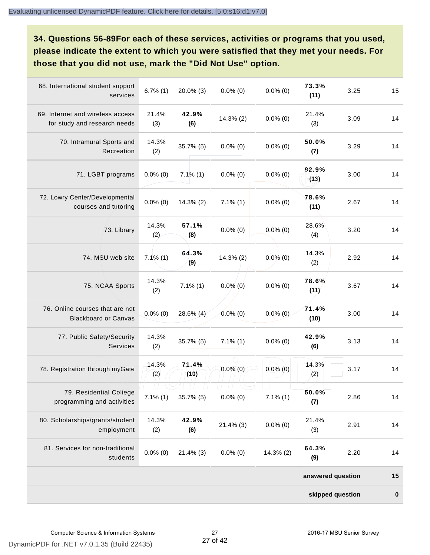**34. Questions 56-89For each of these services, activities or programs that you used, please indicate the extent to which you were satisfied that they met your needs. For those that you did not use, mark the "Did Not Use" option.**

|                                                                  |                         |               |               |              | skipped question  |      | $\pmb{0}$ |
|------------------------------------------------------------------|-------------------------|---------------|---------------|--------------|-------------------|------|-----------|
|                                                                  |                         |               |               |              | answered question |      | 15        |
| 81. Services for non-traditional<br>students                     | $0.0\%$ (0)             | $21.4\%$ (3)  | $0.0\%$ (0)   | $14.3\%$ (2) | 64.3%<br>(9)      | 2.20 | 14        |
| 80. Scholarships/grants/student<br>employment                    | 14.3%<br>(2)            | 42.9%<br>(6)  | $21.4\%$ (3)  | $0.0\%$ (0)  | 21.4%<br>(3)      | 2.91 | 14        |
| 79. Residential College<br>programming and activities            | $\Box$<br>$7.1\%$ $(1)$ | 35.7% (5)     | $0.0\%$ (0)   | $7.1\%$ (1)  | 50.0%<br>(7)      | 2.86 | 14        |
| 78. Registration through myGate                                  | 14.3%<br>(2)            | 71.4%<br>(10) | $0.0\%$ (0)   | $0.0\%$ (0)  | 14.3%<br>(2)      | 3.17 | 14        |
| 77. Public Safety/Security<br>Services                           | 14.3%<br>(2)            | $35.7%$ (5)   | $7.1\%$ $(1)$ | $0.0\%$ (0)  | 42.9%<br>(6)      | 3.13 | 14        |
| 76. Online courses that are not<br><b>Blackboard or Canvas</b>   | $0.0\%$ (0)             | 28.6% (4)     | $0.0\%$ (0)   | $0.0\%$ (0)  | 71.4%<br>(10)     | 3.00 | 14        |
| 75. NCAA Sports                                                  | 14.3%<br>(2)            | $7.1\%$ $(1)$ | $0.0\%$ (0)   | $0.0\%$ (0)  | 78.6%<br>(11)     | 3.67 | 14        |
| 74. MSU web site                                                 | $7.1\%$ (1)             | 64.3%<br>(9)  | 14.3% (2)     | $0.0\%$ (0)  | 14.3%<br>(2)      | 2.92 | 14        |
| 73. Library                                                      | 14.3%<br>(2)            | 57.1%<br>(8)  | $0.0\%$ (0)   | $0.0\%$ (0)  | 28.6%<br>(4)      | 3.20 | 14        |
| 72. Lowry Center/Developmental<br>courses and tutoring           | $0.0\%$ (0)             | $14.3\%$ (2)  | $7.1\%$ (1)   | $0.0\%$ (0)  | 78.6%<br>(11)     | 2.67 | 14        |
| 71. LGBT programs                                                | $0.0\%$ (0)             | $7.1\%$ (1)   | $0.0\%$ (0)   | $0.0\%$ (0)  | 92.9%<br>(13)     | 3.00 | 14        |
| 70. Intramural Sports and<br>Recreation                          | 14.3%<br>(2)            | $35.7\%$ (5)  | $0.0\%$ (0)   | $0.0\%$ (0)  | 50.0%<br>(7)      | 3.29 | 14        |
| 69. Internet and wireless access<br>for study and research needs | 21.4%<br>(3)            | 42.9%<br>(6)  | $14.3\%$ (2)  | $0.0\%$ (0)  | 21.4%<br>(3)      | 3.09 | 14        |
| 68. International student support<br>services                    | $6.7\%$ (1)             | 20.0% (3)     | $0.0\%$ (0)   | $0.0\%$ (0)  | 73.3%<br>(11)     | 3.25 | 15        |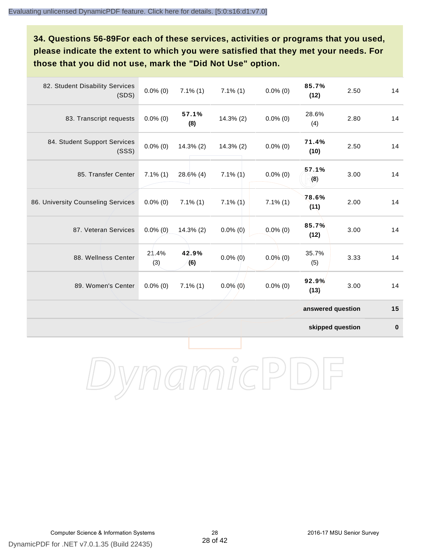**34. Questions 56-89For each of these services, activities or programs that you used, please indicate the extent to which you were satisfied that they met your needs. For those that you did not use, mark the "Did Not Use" option.**

| 82. Student Disability Services<br>(SDS) | $0.0\%$ (0)  | $7.1\%$ (1)  | $7.1\%$ (1)   | $0.0\%$ (0) | 85.7%<br>(12)     | 2.50 | 14 |
|------------------------------------------|--------------|--------------|---------------|-------------|-------------------|------|----|
| 83. Transcript requests                  | $0.0\%$ (0)  | 57.1%<br>(8) | $14.3\%$ (2)  | $0.0\%$ (0) | 28.6%<br>(4)      | 2.80 | 14 |
| 84. Student Support Services<br>(SSS)    | $0.0\%$ (0)  | $14.3\%$ (2) | $14.3\%$ (2)  | $0.0\%$ (0) | 71.4%<br>(10)     | 2.50 | 14 |
| 85. Transfer Center                      | $7.1\%$ (1)  | $28.6\%$ (4) | $7.1\%$ $(1)$ | $0.0\%$ (0) | 57.1%<br>(8)      | 3.00 | 14 |
| 86. University Counseling Services       | $0.0\%$ (0)  | $7.1\%$ (1)  | $7.1\%$ (1)   | $7.1\%$ (1) | 78.6%<br>(11)     | 2.00 | 14 |
| 87. Veteran Services                     | $0.0\%$ (0)  | $14.3\%$ (2) | $0.0\%$ (0)   | $0.0\%$ (0) | 85.7%<br>(12)     | 3.00 | 14 |
| 88. Wellness Center                      | 21.4%<br>(3) | 42.9%<br>(6) | $0.0\%$ (0)   | $0.0\%$ (0) | 35.7%<br>(5)      | 3.33 | 14 |
| 89. Women's Center                       | $0.0\%$ (0)  | $7.1\%$ (1)  | $0.0\%$ (0)   | $0.0\%$ (0) | 92.9%<br>(13)     | 3.00 | 14 |
|                                          |              |              |               |             | answered question |      | 15 |

**skipped question 0**

DynamicPDF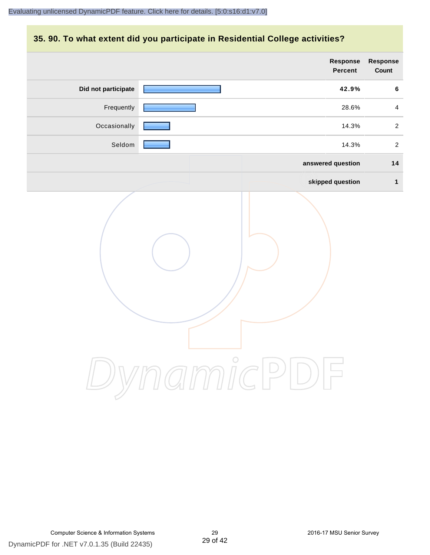#### **35. 90. To what extent did you participate in Residential College activities?**

|                     | Response<br>Percent | Response<br>Count |
|---------------------|---------------------|-------------------|
| Did not participate | 42.9%               | $\bf 6$           |
| Frequently          | 28.6%               | $\overline{4}$    |
| Occasionally        | 14.3%               | $\overline{2}$    |
| Seldom              | 14.3%               | $\overline{a}$    |
|                     | answered question   | 14                |
|                     | skipped question    | $\mathbf{1}$      |
|                     | ynamicPl<br>$\Box$  |                   |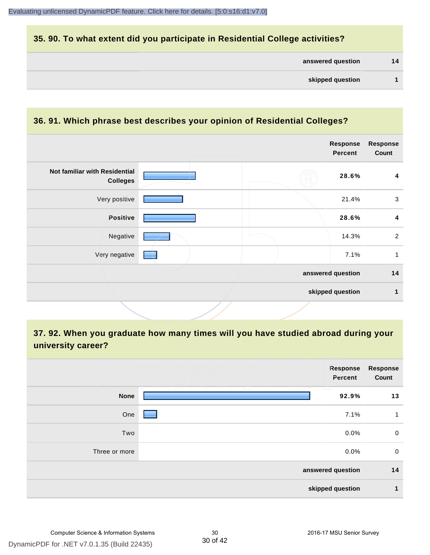#### **35. 90. To what extent did you participate in Residential College activities?**

#### **36. 91. Which phrase best describes your opinion of Residential Colleges?**

|                                                  |  | <b>Response</b><br><b>Percent</b> | <b>Response</b><br>Count |
|--------------------------------------------------|--|-----------------------------------|--------------------------|
| Not familiar with Residential<br><b>Colleges</b> |  | 28.6%                             | 4                        |
| Very positive                                    |  | 21.4%                             | $\mathbf{3}$             |
| Positive                                         |  | 28.6%                             | 4                        |
| Negative                                         |  | 14.3%                             | $\overline{2}$           |
| Very negative                                    |  | 7.1%                              | 1                        |
|                                                  |  | answered question                 | 14                       |
|                                                  |  | skipped question                  | 1                        |
|                                                  |  |                                   |                          |

#### **37. 92. When you graduate how many times will you have studied abroad during your university career?**

|               | Response<br>Percent                         | <b>Response</b><br>Count |
|---------------|---------------------------------------------|--------------------------|
| <b>None</b>   | ______________<br>and the state of<br>92.9% | 13                       |
| One           | 7.1%                                        | 1                        |
| Two           | 0.0%                                        | 0                        |
| Three or more | 0.0%                                        | 0                        |
|               | answered question                           | 14                       |
|               | skipped question                            | 1                        |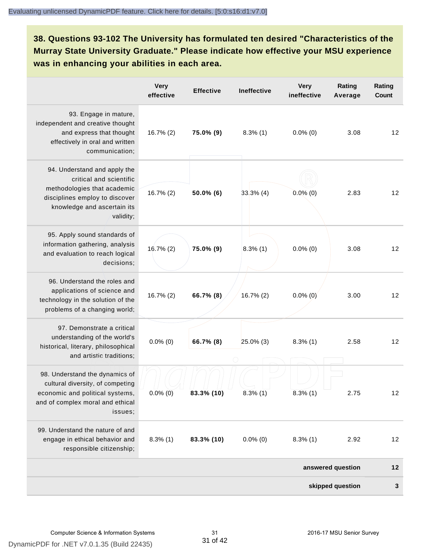**38. Questions 93-102 The University has formulated ten desired "Characteristics of the Murray State University Graduate." Please indicate how effective your MSU experience was in enhancing your abilities in each area.**

|                                                                                                                                                                      | <b>Very</b><br>effective | <b>Effective</b> | Ineffective  | <b>Very</b><br>ineffective | Rating<br>Average | Rating<br>Count |
|----------------------------------------------------------------------------------------------------------------------------------------------------------------------|--------------------------|------------------|--------------|----------------------------|-------------------|-----------------|
| 93. Engage in mature,<br>independent and creative thought<br>and express that thought<br>effectively in oral and written<br>communication;                           | $16.7\%$ (2)             | 75.0% (9)        | $8.3\%$ (1)  | $0.0\%$ (0)                | 3.08              | 12              |
| 94. Understand and apply the<br>critical and scientific<br>methodologies that academic<br>disciplines employ to discover<br>knowledge and ascertain its<br>validity; | $16.7\%$ (2)             | $50.0\%$ (6)     | $33.3\%$ (4) | $0.0\%$ (0)                | 2.83              | 12              |
| 95. Apply sound standards of<br>information gathering, analysis<br>and evaluation to reach logical<br>decisions;                                                     | $16.7\%$ (2)             | 75.0% (9)        | $8.3\%$ (1)  | $0.0\%$ (0)                | 3.08              | 12              |
| 96. Understand the roles and<br>applications of science and<br>technology in the solution of the<br>problems of a changing world;                                    | $16.7\%$ (2)             | 66.7% (8)        | 16.7% (2)    | $0.0\%$ (0)                | 3.00              | 12              |
| 97. Demonstrate a critical<br>understanding of the world's<br>historical, literary, philosophical<br>and artistic traditions;                                        | $0.0\%$ (0)              | 66.7% (8)        | 25.0% (3)    | $8.3\%$ (1)                | 2.58              | 12              |
| 98. Understand the dynamics of<br>cultural diversity, of competing<br>economic and political systems,<br>and of complex moral and ethical<br>issues;                 | $0.0\%$ (0)              | 83.3% (10)       | $8.3\%$ (1)  | $8.3\%$ (1)                | 2.75              | 12              |
| 99. Understand the nature of and<br>engage in ethical behavior and<br>responsible citizenship;                                                                       | $8.3\%$ (1)              | 83.3% (10)       | $0.0\%$ (0)  | $8.3\%$ (1)                | 2.92              | 12              |
|                                                                                                                                                                      |                          |                  |              |                            | answered question | $12$            |
|                                                                                                                                                                      |                          |                  |              |                            | skipped question  | 3               |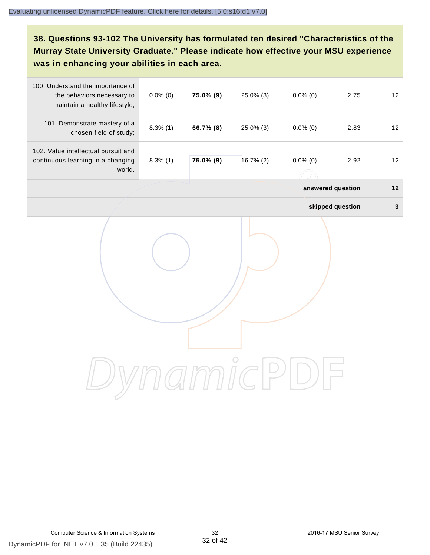#### **38. Questions 93-102 The University has formulated ten desired "Characteristics of the Murray State University Graduate." Please indicate how effective your MSU experience was in enhancing your abilities in each area.**

| 100. Understand the importance of<br>the behaviors necessary to<br>maintain a healthy lifestyle; | $0.0\%$ (0) | 75.0% (9) | 25.0% (3) | $0.0\%$ (0)       | 2.75             | 12           |
|--------------------------------------------------------------------------------------------------|-------------|-----------|-----------|-------------------|------------------|--------------|
| 101. Demonstrate mastery of a<br>chosen field of study;                                          | $8.3\%$ (1) | 66.7% (8) | 25.0% (3) | $0.0\%$ (0)       | 2.83             | 12           |
| 102. Value intellectual pursuit and<br>continuous learning in a changing<br>world.               | $8.3\%$ (1) | 75.0% (9) | 16.7% (2) | $0.0\%$ (0)       | 2.92             | 12           |
|                                                                                                  |             |           |           | answered question |                  | $12$         |
|                                                                                                  |             |           |           |                   | skipped question | $\mathbf{3}$ |
|                                                                                                  |             |           |           |                   |                  |              |
|                                                                                                  |             |           |           |                   |                  |              |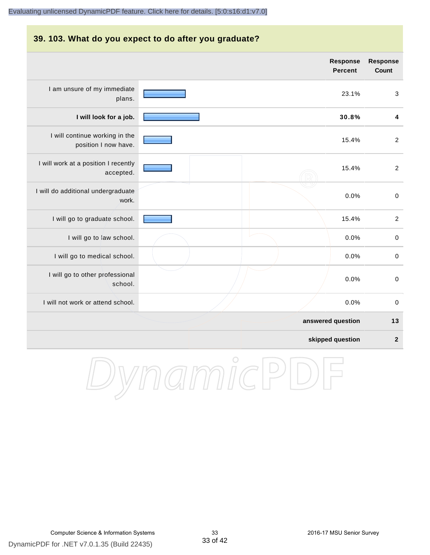#### **39. 103. What do you expect to do after you graduate? answered question 13 Response Percent Response Count** I am unsure of my immediate plans. 23.1% 3 **I will look for a job. 30.8% 4** I will continue working in the position I now have. 15.4% 2 I will work at a position I recently accepted. 15.4% 2 I will do additional undergraduate work. 0.0% 0 I will go to graduate school. **15.4%** 2 I will go to law school.  $\sim$  0.0% 0 I will go to medical school.  $\qquad \qquad \qquad$  0.0% 0 I will go to other professional school. 0.0% 0 I will not work or attend school. 0.0% 0

**skipped question 2**

DynamicPD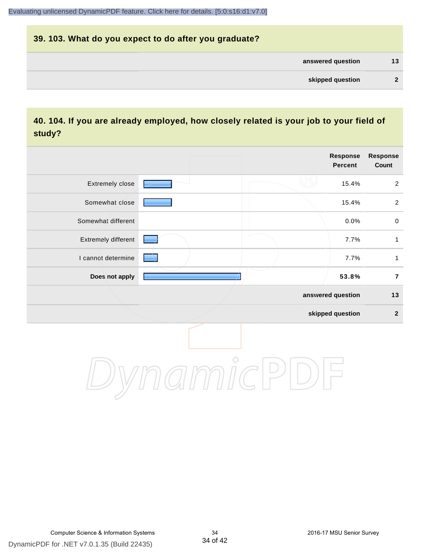## **39. 103. What do you expect to do after you graduate? answered question 13 skipped question 2**

#### **40. 104. If you are already employed, how closely related is your job to your field of study?**

|                     |                                                                | <b>Response</b><br><b>Percent</b> | Response<br>Count |
|---------------------|----------------------------------------------------------------|-----------------------------------|-------------------|
| Extremely close     |                                                                | 15.4%                             | $\overline{2}$    |
| Somewhat close      |                                                                | 15.4%                             | $\overline{2}$    |
| Somewhat different  |                                                                | 0.0%                              | $\mathbf 0$       |
| Extremely different |                                                                | 7.7%                              | $\mathbf{1}$      |
| I cannot determine  |                                                                | 7.7%                              | 1                 |
| Does not apply      |                                                                | 53.8%                             | $\overline{7}$    |
|                     |                                                                | answered question                 | $13$              |
|                     |                                                                | skipped question                  | $\mathbf{2}$      |
|                     | $\gamma$ $\gamma$ $\gamma$ $\gamma$ $\gamma$ $\gamma$ $\gamma$ |                                   |                   |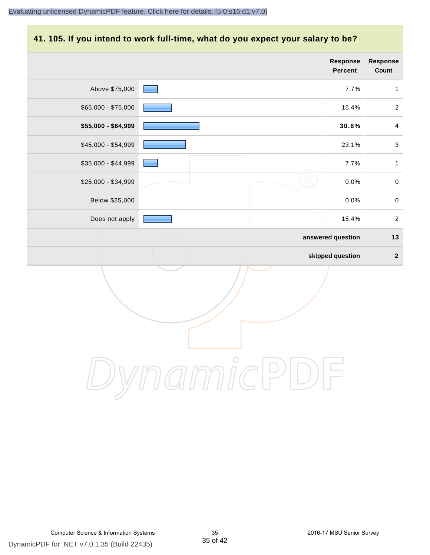#### **41. 105. If you intend to work full-time, what do you expect your salary to be?**

|                     |            | <b>Response</b><br>Percent | Response<br>Count |
|---------------------|------------|----------------------------|-------------------|
| Above \$75,000      |            | 7.7%                       | $\mathbf{1}$      |
| \$65,000 - \$75,000 |            | 15.4%                      | $\overline{2}$    |
| \$55,000 - \$64,999 |            | 30.8%                      | $\boldsymbol{4}$  |
| \$45,000 - \$54,999 |            | 23.1%                      | $\sqrt{3}$        |
| $$35,000 - $44,999$ |            | 7.7%                       | $\mathbf{1}$      |
| \$25,000 - \$34,999 |            | 0.0%                       | $\pmb{0}$         |
| Below \$25,000      |            | 0.0%                       | $\pmb{0}$         |
| Does not apply      |            | 15.4%                      | $\boldsymbol{2}$  |
|                     |            | answered question          | $13$              |
|                     |            | skipped question           | $\mathbf{2}$      |
|                     |            |                            |                   |
|                     | $\bigcirc$ |                            |                   |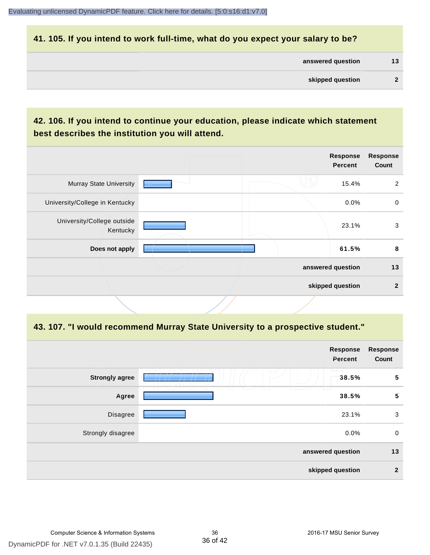#### **41. 105. If you intend to work full-time, what do you expect your salary to be?**

| answered question | 13 |
|-------------------|----|
|                   |    |

#### **42. 106. If you intend to continue your education, please indicate which statement best describes the institution you will attend.**

|                                        |  | <b>Response</b><br><b>Percent</b> | <b>Response</b><br>Count |
|----------------------------------------|--|-----------------------------------|--------------------------|
| <b>Murray State University</b>         |  | 15.4%                             | 2                        |
| University/College in Kentucky         |  | 0.0%                              | 0                        |
| University/College outside<br>Kentucky |  | 23.1%                             | 3                        |
| Does not apply                         |  | 61.5%                             | 8                        |
|                                        |  | answered question                 | 13                       |
|                                        |  | skipped question                  | $\overline{2}$           |

#### **43. 107. "I would recommend Murray State University to a prospective student."**

| <b>Response</b><br>Count | Response<br>Percent                                            |                       |
|--------------------------|----------------------------------------------------------------|-----------------------|
| $\sqrt{5}$               | 38.5%                                                          | <b>Strongly agree</b> |
| $\sqrt{5}$               | m<br>□<br>73<br>T<br>$\overline{\phantom{a}}$<br>T. T<br>38.5% | Agree                 |
| 3                        | 23.1%                                                          | Disagree              |
| $\mathbf 0$              | 0.0%                                                           | Strongly disagree     |
| 13                       | answered question                                              |                       |
| $\overline{2}$           | skipped question                                               |                       |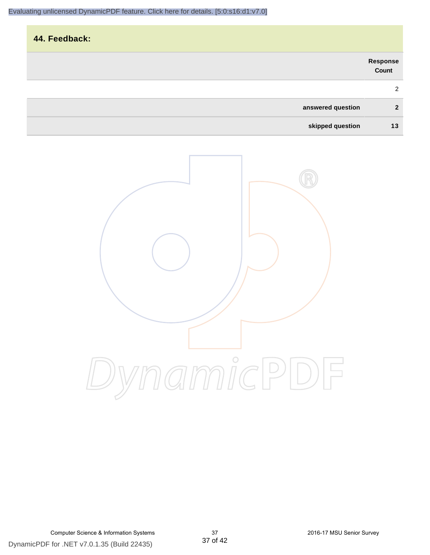|                   |                   | 44. Feedback: |
|-------------------|-------------------|---------------|
| Response<br>Count |                   |               |
| 2                 |                   |               |
| $\mathbf{2}$      | answered question |               |
| 13                | skipped question  |               |

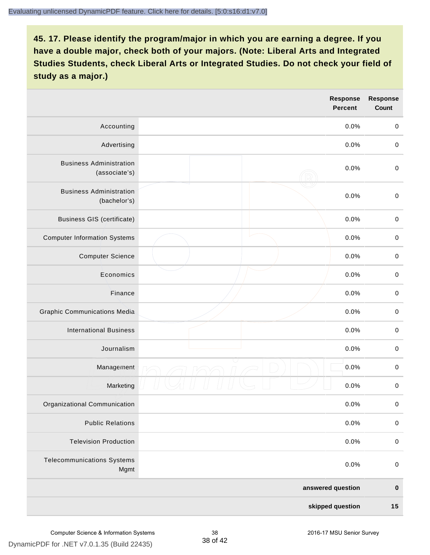|                                                 | Response<br><b>Percent</b> | <b>Response</b><br>Count |
|-------------------------------------------------|----------------------------|--------------------------|
| Accounting                                      | 0.0%                       | $\mathbf 0$              |
| Advertising                                     | 0.0%                       | $\mathbf 0$              |
| <b>Business Administration</b><br>(associate's) | 0.0%                       | $\mathbf 0$              |
| <b>Business Administration</b><br>(bachelor's)  | 0.0%                       | $\pmb{0}$                |
| <b>Business GIS (certificate)</b>               | 0.0%                       | $\,0\,$                  |
| <b>Computer Information Systems</b>             | 0.0%                       | $\pmb{0}$                |
| <b>Computer Science</b>                         | 0.0%                       | $\pmb{0}$                |
| Economics                                       | 0.0%                       | $\mathbf 0$              |
| Finance                                         | 0.0%                       | $\mathbf 0$              |
| <b>Graphic Communications Media</b>             | 0.0%                       | $\mathbf 0$              |
| <b>International Business</b>                   | 0.0%                       | $\pmb{0}$                |
| Journalism                                      | 0.0%                       | $\pmb{0}$                |
| Management                                      | 0.0%                       | $\pmb{0}$                |
| Marketing                                       | 0.0%                       | $\pmb{0}$                |
| Organizational Communication                    | 0.0%                       | $\pmb{0}$                |
| <b>Public Relations</b>                         | 0.0%                       | $\pmb{0}$                |
| <b>Television Production</b>                    | 0.0%                       | $\mathbf 0$              |
| <b>Telecommunications Systems</b><br>Mgmt       | 0.0%                       | $\pmb{0}$                |
|                                                 | answered question          | $\pmb{0}$                |
|                                                 | skipped question           | $15$                     |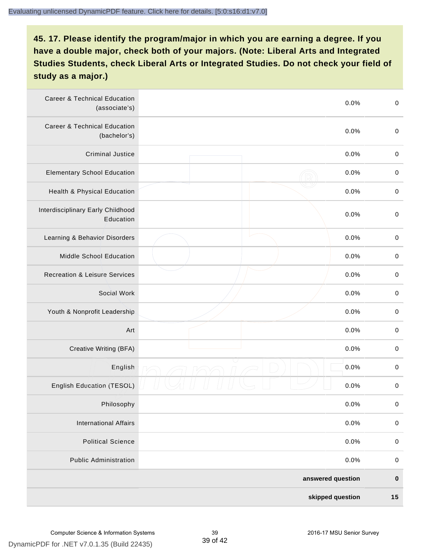| <b>Career &amp; Technical Education</b><br>(associate's) | 0.0%              | $\pmb{0}$   |
|----------------------------------------------------------|-------------------|-------------|
| <b>Career &amp; Technical Education</b><br>(bachelor's)  | 0.0%              | $\mathbf 0$ |
| <b>Criminal Justice</b>                                  | 0.0%              | $\,0\,$     |
| <b>Elementary School Education</b>                       | 0.0%              | $\,0\,$     |
| Health & Physical Education                              | 0.0%              | $\,0\,$     |
| Interdisciplinary Early Childhood<br>Education           | 0.0%              | $\pmb{0}$   |
| Learning & Behavior Disorders                            | 0.0%              | $\,0\,$     |
| Middle School Education                                  | 0.0%              | $\mathbf 0$ |
| <b>Recreation &amp; Leisure Services</b>                 | 0.0%              | $\mathbf 0$ |
| Social Work                                              | 0.0%              | $\mathbf 0$ |
| Youth & Nonprofit Leadership                             | 0.0%              | $\mathbf 0$ |
| Art                                                      | 0.0%              | $\pmb{0}$   |
| Creative Writing (BFA)                                   | 0.0%              | $\pmb{0}$   |
| English                                                  | 0.0%              | $\pmb{0}$   |
| English Education (TESOL)                                | 0.0%              | $\pmb{0}$   |
| Philosophy                                               | 0.0%              | 0           |
| <b>International Affairs</b>                             | 0.0%              | $\pmb{0}$   |
| <b>Political Science</b>                                 | 0.0%              | $\mathbf 0$ |
| <b>Public Administration</b>                             | 0.0%              | $\mathbf 0$ |
|                                                          | answered question | $\pmb{0}$   |
|                                                          | skipped question  | 15          |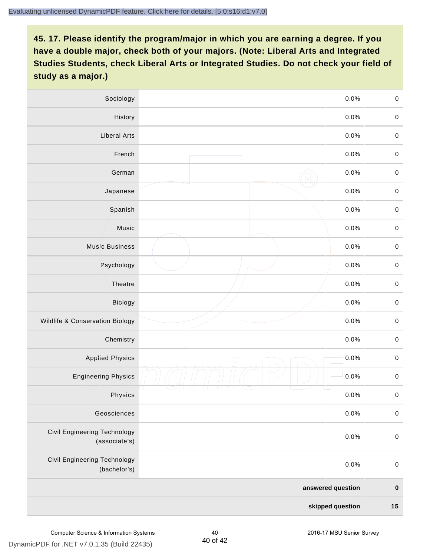| Sociology                                            |            | 0.0%    | $\mathbf 0$ |
|------------------------------------------------------|------------|---------|-------------|
| History                                              |            | $0.0\%$ | $\mathbf 0$ |
| <b>Liberal Arts</b>                                  |            | 0.0%    | $\mathbf 0$ |
| French                                               |            | 0.0%    | $\pmb{0}$   |
| German                                               |            | 0.0%    | $\mathbf 0$ |
| Japanese                                             |            | 0.0%    | $\mathsf 0$ |
| Spanish                                              |            | 0.0%    | $\mathbf 0$ |
| Music                                                |            | 0.0%    | $\mathbf 0$ |
| <b>Music Business</b>                                |            | 0.0%    | $\pmb{0}$   |
| Psychology                                           |            | 0.0%    | $\mathbf 0$ |
| Theatre                                              |            | 0.0%    | $\mathbf 0$ |
| Biology                                              |            | 0.0%    | $\mathbf 0$ |
| Wildlife & Conservation Biology                      |            | 0.0%    | $\mathbf 0$ |
| Chemistry                                            |            | 0.0%    | $\pmb{0}$   |
| <b>Applied Physics</b>                               | $\bigcirc$ | 0.0%    | $\mathbf 0$ |
| <b>Engineering Physics</b>                           |            | 0.0%    | $\mathbf 0$ |
| Physics                                              |            | 0.0%    | $\mathbf 0$ |
| Geosciences                                          |            | 0.0%    | $\mathbf 0$ |
| <b>Civil Engineering Technology</b><br>(associate's) |            | 0.0%    | $\pmb{0}$   |
| Civil Engineering Technology<br>(bachelor's)         |            | 0.0%    | $\mathbf 0$ |
| answered question                                    |            |         | $\pmb{0}$   |
| skipped question                                     |            |         | 15          |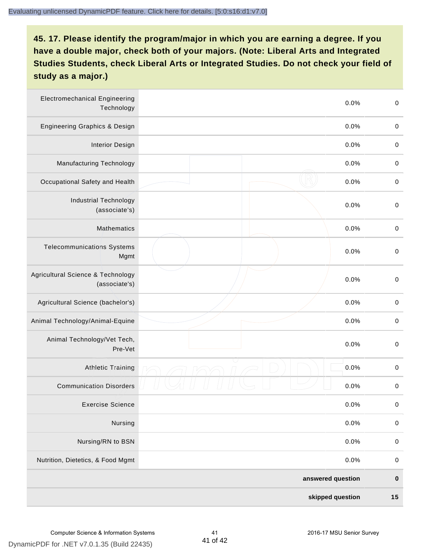| <b>Electromechanical Engineering</b><br>Technology |  | 0.0%              | $\mbox{O}$  |
|----------------------------------------------------|--|-------------------|-------------|
| <b>Engineering Graphics &amp; Design</b>           |  | 0.0%              | $\,0\,$     |
| <b>Interior Design</b>                             |  | 0.0%              | $\pmb{0}$   |
| <b>Manufacturing Technology</b>                    |  | 0.0%              | $\pmb{0}$   |
| Occupational Safety and Health                     |  | 0.0%              | $\pmb{0}$   |
| <b>Industrial Technology</b><br>(associate's)      |  | 0.0%              | $\pmb{0}$   |
| <b>Mathematics</b>                                 |  | 0.0%              | $\pmb{0}$   |
| <b>Telecommunications Systems</b><br>Mgmt          |  | 0.0%              | $\pmb{0}$   |
| Agricultural Science & Technology<br>(associate's) |  | 0.0%              | $\mbox{O}$  |
| Agricultural Science (bachelor's)                  |  | 0.0%              | $\pmb{0}$   |
| Animal Technology/Animal-Equine                    |  | 0.0%              | $\pmb{0}$   |
| Animal Technology/Vet Tech,<br>Pre-Vet             |  | 0.0%              | $\pmb{0}$   |
| <b>Athletic Training</b>                           |  | 0.0%              | $\pmb{0}$   |
| <b>Communication Disorders</b>                     |  | 0.0%              | $\pmb{0}$   |
| <b>Exercise Science</b>                            |  | 0.0%              | $\mathbf 0$ |
| Nursing                                            |  | 0.0%              | $\pmb{0}$   |
| Nursing/RN to BSN                                  |  | 0.0%              | $\mathbf 0$ |
| Nutrition, Dietetics, & Food Mgmt                  |  | 0.0%              | $\,0\,$     |
|                                                    |  | answered question | $\pmb{0}$   |
| skipped question                                   |  |                   | $15$        |